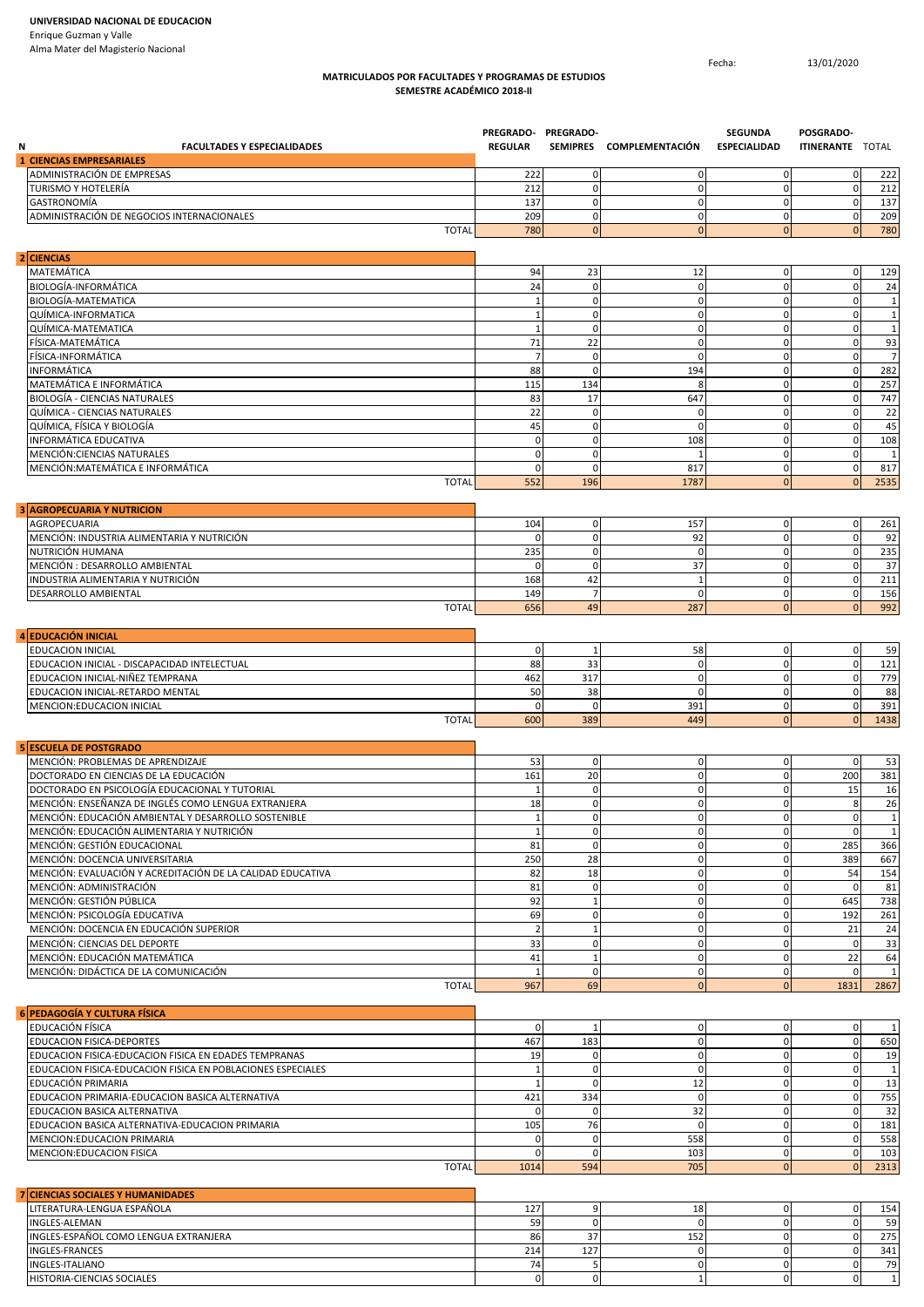## **MATRICULADOS POR FACULTADES Y PROGRAMAS DE ESTUDIOS SEMESTRE ACADÉMICO 2018-II**

Fecha: 13/01/2020

| <b>FACULTADES Y ESPECIALIDADES</b><br>N                                                            | PREGRADO- PREGRADO-<br><b>REGULAR</b> |                             | SEMIPRES COMPLEMENTACIÓN    | <b>SEGUNDA</b><br><b>ESPECIALIDAD</b> | POSGRADO-<br><b>ITINERANTE TOTAL</b> |                              |
|----------------------------------------------------------------------------------------------------|---------------------------------------|-----------------------------|-----------------------------|---------------------------------------|--------------------------------------|------------------------------|
| <b>1 CIENCIAS EMPRESARIALES</b>                                                                    |                                       |                             |                             |                                       |                                      |                              |
| ADMINISTRACIÓN DE EMPRESAS                                                                         | 222                                   | $\mathbf 0$                 | $\mathbf 0$                 | $\mathbf 0$                           | 0                                    | 222                          |
| TURISMO Y HOTELERÍA<br>GASTRONOMÍA                                                                 | 212<br>137                            | $\mathbf 0$<br>$\mathbf 0$  | $\pmb{0}$<br>$\mathbf 0$    | $\mathbf 0$<br>$\mathbf 0$            | $\pmb{0}$<br>$\mathbf 0$             | 212<br>137                   |
| ADMINISTRACIÓN DE NEGOCIOS INTERNACIONALES                                                         | 209                                   | $\mathbf 0$                 | $\mathbf 0$                 | $\mathbf 0$                           | $\mathbf 0$                          | 209                          |
| <b>TOTAL</b>                                                                                       | 780                                   | $\mathbf{0}$                | $\mathbf 0$                 | $\overline{0}$                        | $\mathbf{0}$                         | 780                          |
| 2 CIENCIAS                                                                                         |                                       |                             |                             |                                       |                                      |                              |
| MATEMÁTICA                                                                                         | 94                                    | 23                          | 12                          | $\mathbf 0$                           | 0                                    | 129                          |
| BIOLOGÍA-INFORMÁTICA                                                                               | 24                                    | 0                           | 0                           | $\mathbf 0$                           | $\pmb{0}$                            | 24                           |
| <b>BIOLOGÍA-MATEMATICA</b>                                                                         | $\mathbf{1}$                          | $\mathbf 0$                 | $\mathbf 0$                 | $\mathbf 0$                           | $\pmb{0}$                            | $\mathbf{1}$                 |
| QUÍMICA-INFORMATICA<br>QUÍMICA-MATEMATICA                                                          | $\mathbf{1}$<br>$\mathbf{1}$          | $\mathbf 0$<br>$\mathbf 0$  | $\mathbf 0$<br>$\pmb{0}$    | $\mathbf 0$<br>$\mathbf 0$            | $\pmb{0}$<br>$\pmb{0}$               | $\mathbf{1}$<br>$\mathbf{1}$ |
| FÍSICA-MATEMÁTICA                                                                                  | 71                                    | 22                          | $\mathbf 0$                 | $\mathbf 0$                           | $\pmb{0}$                            | 93                           |
| FÍSICA-INFORMÁTICA                                                                                 | $\overline{7}$                        | $\mathsf 0$                 | $\mathbf 0$                 | $\mathbf 0$                           | $\pmb{0}$                            | $\overline{7}$               |
| INFORMÁTICA                                                                                        | 88                                    | $\mathbf 0$                 | 194                         | $\mathbf 0$                           | $\pmb{0}$                            | 282                          |
| MATEMÁTICA E INFORMÁTICA                                                                           | 115                                   | 134                         | 8                           | $\mathbf 0$                           | $\mathbf 0$                          | 257                          |
| <b>BIOLOGÍA - CIENCIAS NATURALES</b>                                                               | 83                                    | 17                          | 647                         | $\mathbf 0$                           | $\pmb{0}$                            | 747                          |
| QUÍMICA - CIENCIAS NATURALES                                                                       | 22                                    | $\mathbf 0$                 | $\mathbf 0$                 | $\mathbf 0$                           | $\mathbf 0$                          | 22                           |
| QUÍMICA, FÍSICA Y BIOLOGÍA                                                                         | 45                                    | $\mathbf 0$                 | 0                           | $\mathbf 0$                           | $\mathbf 0$                          | 45                           |
| INFORMÁTICA EDUCATIVA                                                                              | $\mathbf 0$                           | $\mathbf 0$                 | 108                         | $\mathbf 0$                           | $\pmb{0}$                            | 108                          |
| MENCIÓN:CIENCIAS NATURALES<br>MENCIÓN:MATEMÁTICA E INFORMÁTICA                                     | $\pmb{0}$<br>$\mathbf 0$              | $\mathbf 0$<br>$\mathbf 0$  | 1<br>817                    | $\mathbf 0$<br>$\mathbf 0$            | $\pmb{0}$<br>$\mathbf 0$             | $\mathbf{1}$<br>817          |
| <b>TOTAL</b>                                                                                       | 552                                   | 196                         | 1787                        | $\overline{0}$                        | $\mathbf{0}$                         | 2535                         |
| <b>3 AGROPECUARIA Y NUTRICION</b>                                                                  |                                       |                             |                             |                                       |                                      |                              |
| AGROPECUARIA                                                                                       | 104                                   | $\mathbf 0$                 | 157                         | $\mathbf 0$                           | $\pmb{0}$                            | 261                          |
| MENCIÓN: INDUSTRIA ALIMENTARIA Y NUTRICIÓN                                                         | $\mathbf 0$                           | $\mathsf 0$                 | 92                          | $\mathbf 0$                           | $\mathbf 0$                          | 92                           |
| NUTRICIÓN HUMANA                                                                                   | 235                                   | $\mathbf 0$                 | $\mathbf 0$                 | $\mathbf 0$                           | $\pmb{0}$                            | 235                          |
| MENCIÓN : DESARROLLO AMBIENTAL                                                                     | $\Omega$                              | $\mathbf 0$                 | 37                          | $\mathbf 0$                           | $\pmb{0}$                            | 37                           |
| INDUSTRIA ALIMENTARIA Y NUTRICIÓN<br>DESARROLLO AMBIENTAL                                          | 168<br>149                            | 42<br>$\overline{7}$        | $\mathbf{1}$<br>$\mathbf 0$ | $\mathbf 0$<br>$\mathbf 0$            | $\mathbf 0$<br>$\pmb{0}$             | 211<br>156                   |
| <b>TOTAL</b>                                                                                       | 656                                   | 49                          | 287                         | $\overline{0}$                        | $\mathbf{0}$                         | 992                          |
| <b>EDUCACIÓN INICIAL</b><br>$\overline{a}$                                                         |                                       |                             |                             |                                       |                                      |                              |
| EDUCACION INICIAL                                                                                  | $\mathbf 0$                           | $\mathbf{1}$                | 58                          | $\mathbf 0$                           | $\mathbf 0$                          | 59                           |
| EDUCACION INICIAL - DISCAPACIDAD INTELECTUAL                                                       | 88                                    | 33                          | $\pmb{0}$                   | $\mathbf 0$                           | $\pmb{0}$                            | 121                          |
| EDUCACION INICIAL-NIÑEZ TEMPRANA                                                                   | 462                                   | 317                         | $\mathbf 0$                 | $\mathbf 0$                           | $\mathbf 0$                          | 779                          |
| EDUCACION INICIAL-RETARDO MENTAL                                                                   | 50                                    | 38                          | $\mathbf 0$                 | $\mathbf 0$                           | $\mathbf 0$                          | 88                           |
| MENCION: EDUCACION INICIAL<br><b>TOTAL</b>                                                         | $\mathbf 0$<br>600                    | $\mathsf 0$<br>389          | 391<br>449                  | $\mathbf 0$<br>$\overline{0}$         | $\mathbf 0$<br>$\mathbf{0}$          | 391<br>1438                  |
| 5 ESCUELA DE POSTGRADO                                                                             |                                       |                             |                             |                                       |                                      |                              |
| MENCIÓN: PROBLEMAS DE APRENDIZAJE                                                                  | 53                                    | $\mathbf 0$                 | $\mathbf 0$                 | $\mathbf 0$                           | $\mathbf 0$                          | 53                           |
| DOCTORADO EN CIENCIAS DE LA EDUCACIÓN                                                              | 161                                   | 20                          | $\mathbf 0$                 | $\mathbf 0$                           | 200                                  | 381                          |
| DOCTORADO EN PSICOLOGÍA EDUCACIONAL Y TUTORIAL                                                     | $\overline{1}$                        | $\mathbf 0$                 | 0                           | $\mathbf 0$                           | 15                                   | 16                           |
| MENCIÓN: ENSEÑANZA DE INGLÉS COMO LENGUA EXTRANJERA                                                | 18                                    | $\mathbf 0$                 | 0                           | $\mathbf 0$                           | 8                                    | 26                           |
| MENCIÓN: EDUCACIÓN AMBIENTAL Y DESARROLLO SOSTENIBLE<br>MENCIÓN: EDUCACIÓN ALIMENTARIA Y NUTRICIÓN | $\mathbf{1}$<br>$\mathbf{1}$          | $\mathbf 0$<br>$\mathbf 0$  | $\mathbf 0$<br>$\mathbf 0$  | $\mathbf 0$<br>$\mathbf 0$            | $\mathbf 0$<br>$\mathbf 0$           | $\mathbf{1}$<br>$\mathbf{1}$ |
| MENCIÓN: GESTIÓN EDUCACIONAL                                                                       | 81                                    | $\mathbf{0}$                | $\pmb{0}$                   | $\mathbf 0$                           | 285                                  | 366                          |
| MENCIÓN: DOCENCIA UNIVERSITARIA                                                                    | 250                                   | 28                          | $\mathbf 0$                 | $\mathbf 0$                           | 389                                  | 667                          |
| MENCIÓN: EVALUACIÓN Y ACREDITACIÓN DE LA CALIDAD EDUCATIVA                                         | 82                                    | 18                          | $\mathbf 0$                 | $\mathbf 0$                           | 54                                   | 154                          |
| MENCIÓN: ADMINISTRACIÓN                                                                            | 81                                    | $\mathbf 0$                 | $\mathbf 0$                 | $\mathbf 0$                           | $\mathbf 0$                          | 81                           |
| MENCIÓN: GESTIÓN PÚBLICA                                                                           | 92                                    | $\mathbf 1$                 | $\mathbf 0$                 | $\mathbf 0$                           | 645                                  | 738                          |
| MENCIÓN: PSICOLOGÍA EDUCATIVA                                                                      | 69                                    | $\mathbf 0$                 | $\mathbf 0$                 | $\mathbf 0$                           | 192                                  | 261                          |
| MENCIÓN: DOCENCIA EN EDUCACIÓN SUPERIOR                                                            | $\overline{2}$                        | $\mathbf{1}$                | $\mathbf 0$                 | $\mathbf 0$                           | 21                                   | 24                           |
| MENCIÓN: CIENCIAS DEL DEPORTE<br>MENCIÓN: EDUCACIÓN MATEMÁTICA                                     | 33<br>41                              | $\mathbf 0$<br>$\mathbf{1}$ | $\mathbf 0$<br>$\mathbf 0$  | $\mathbf 0$<br>$\mathbf 0$            | $\mathbf 0$<br>22                    | 33<br>64                     |
| MENCIÓN: DIDÁCTICA DE LA COMUNICACIÓN                                                              | 1                                     | $\mathbf 0$                 | $\mathbf 0$                 | $\mathbf 0$                           | $\mathbf 0$                          | $\mathbf{1}$                 |
| <b>TOTAL</b>                                                                                       | 967                                   | 69                          | $\mathbf{0}$                | $\overline{0}$                        | 1831                                 | 2867                         |
| 6 PEDAGOGÍA Y CULTURA FÍSICA                                                                       |                                       |                             |                             |                                       |                                      |                              |
| EDUCACIÓN FÍSICA                                                                                   | $\mathbf 0$                           | 1                           | $\mathbf 0$                 | $\mathbf 0$                           | $\mathbf 0$                          | $\mathbf{1}$                 |
| <b>EDUCACION FISICA-DEPORTES</b>                                                                   | 467                                   | 183                         | $\mathbf 0$                 | $\mathbf 0$                           | $\mathbf 0$                          | 650                          |
| EDUCACION FISICA-EDUCACION FISICA EN EDADES TEMPRANAS                                              | 19                                    | $\mathbf 0$                 | $\mathbf 0$                 | $\mathbf 0$                           | $\mathbf 0$                          | 19                           |
| EDUCACION FISICA-EDUCACION FISICA EN POBLACIONES ESPECIALES<br>EDUCACIÓN PRIMARIA                  | $\mathbf{1}$<br>$\mathbf{1}$          | $\mathbf 0$<br>$\mathsf 0$  | $\mathbf 0$<br>12           | $\mathbf 0$<br>$\mathbf 0$            | $\mathbf 0$<br>$\mathbf 0$           | $\mathbf{1}$<br>13           |
| EDUCACION PRIMARIA-EDUCACION BASICA ALTERNATIVA                                                    | 421                                   | 334                         | $\mathbf 0$                 | $\mathbf 0$                           | $\mathbf 0$                          | 755                          |
| EDUCACION BASICA ALTERNATIVA                                                                       | $\mathbf 0$                           | $\mathbf 0$                 | 32                          | $\mathbf 0$                           | $\mathbf 0$                          | 32                           |
| EDUCACION BASICA ALTERNATIVA-EDUCACION PRIMARIA                                                    | 105                                   | 76                          | $\mathbf 0$                 | $\mathbf 0$                           | $\mathbf 0$                          | 181                          |
| MENCION: EDUCACION PRIMARIA                                                                        | $\pmb{0}$                             | $\mathbf 0$                 | 558                         | $\mathbf 0$                           | $\mathbf 0$                          | 558                          |
| MENCION: EDUCACION FISICA<br><b>TOTAL</b>                                                          | $\mathbf 0$<br>1014                   | $\mathbf 0$<br>594          | 103<br>705                  | $\mathbf 0$<br>$\mathbf{0}$           | $\mathbf 0$<br>$\overline{0}$        | 103<br>2313                  |
|                                                                                                    |                                       |                             |                             |                                       |                                      |                              |
| 7 CIENCIAS SOCIALES Y HUMANIDADES<br>LITERATURA-LENGUA ESPAÑOLA                                    | 127                                   | 9                           | 18                          | $\mathbf 0$                           | $\mathbf 0$                          | 154                          |
| INGLES-ALEMAN                                                                                      | 59                                    | $\mathbf 0$                 | $\mathbf 0$                 | $\mathbf 0$                           | $\mathbf 0$                          | 59                           |
| INGLES-ESPAÑOL COMO LENGUA EXTRANJERA                                                              | 86                                    | 37                          | 152                         | $\mathbf 0$                           | $\mathbf 0$                          | 275                          |

INGLES-FRANCES 214 127 0 0 0 341 INGLES-ITALIANO 74 5 0 0 0 79 HISTORIA-CIENCIAS SOCIALES 0 0 1 0 0 1